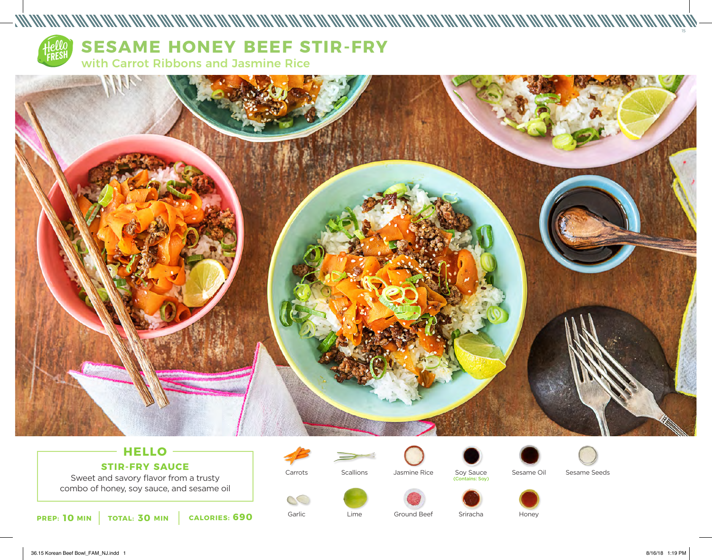

# **SESAME HONEY BEEF STIR-FRY**

with Carrot Ribbons and Jasmine Rice



## **HELLO STIR-FRY SAUCE**

Sweet and savory flavor from a trusty combo of honey, soy sauce, and sesame oil

**10** MIN | TOTAL: 30 MIN | CALORIES: 690

Carrots

Garlic

 $\mathcal{C}$ 



Soy Sauce (Contains: Soy)



Sesame Seeds



**Scallions** 



Sriracha

Honey

15